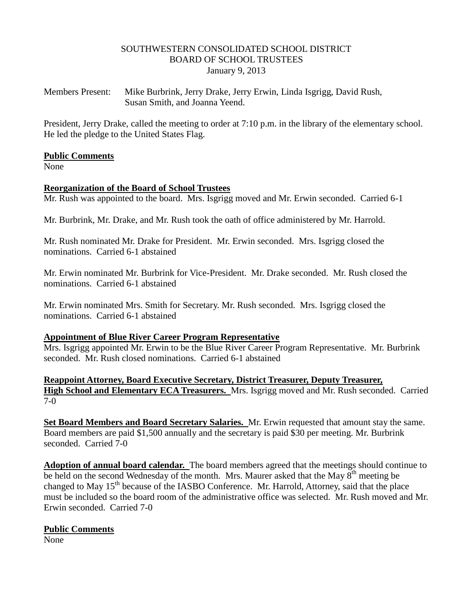### SOUTHWESTERN CONSOLIDATED SCHOOL DISTRICT BOARD OF SCHOOL TRUSTEES January 9, 2013

Members Present: Mike Burbrink, Jerry Drake, Jerry Erwin, Linda Isgrigg, David Rush, Susan Smith, and Joanna Yeend.

President, Jerry Drake, called the meeting to order at 7:10 p.m. in the library of the elementary school. He led the pledge to the United States Flag.

# **Public Comments**

None

# **Reorganization of the Board of School Trustees**

Mr. Rush was appointed to the board. Mrs. Isgrigg moved and Mr. Erwin seconded. Carried 6-1

Mr. Burbrink, Mr. Drake, and Mr. Rush took the oath of office administered by Mr. Harrold.

Mr. Rush nominated Mr. Drake for President. Mr. Erwin seconded. Mrs. Isgrigg closed the nominations. Carried 6-1 abstained

Mr. Erwin nominated Mr. Burbrink for Vice-President. Mr. Drake seconded. Mr. Rush closed the nominations. Carried 6-1 abstained

Mr. Erwin nominated Mrs. Smith for Secretary. Mr. Rush seconded. Mrs. Isgrigg closed the nominations. Carried 6-1 abstained

#### **Appointment of Blue River Career Program Representative**

Mrs. Isgrigg appointed Mr. Erwin to be the Blue River Career Program Representative. Mr. Burbrink seconded. Mr. Rush closed nominations. Carried 6-1 abstained

**Reappoint Attorney, Board Executive Secretary, District Treasurer, Deputy Treasurer, High School and Elementary ECA Treasurers.** Mrs. Isgrigg moved and Mr. Rush seconded. Carried 7-0

**Set Board Members and Board Secretary Salaries.** Mr. Erwin requested that amount stay the same. Board members are paid \$1,500 annually and the secretary is paid \$30 per meeting. Mr. Burbrink seconded. Carried 7-0

**Adoption of annual board calendar.** The board members agreed that the meetings should continue to be held on the second Wednesday of the month. Mrs. Maurer asked that the May  $8<sup>th</sup>$  meeting be changed to May 15<sup>th</sup> because of the IASBO Conference. Mr. Harrold, Attorney, said that the place must be included so the board room of the administrative office was selected.Mr. Rush moved and Mr. Erwin seconded. Carried 7-0

# **Public Comments**

None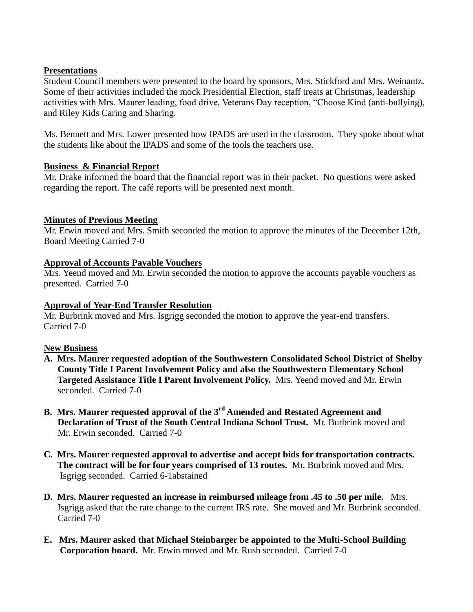### **Presentations**

Student Council members were presented to the board by sponsors, Mrs. Stickford and Mrs. Weinantz. Some of their activities included the mock Presidential Election, staff treats at Christmas, leadership activities with Mrs. Maurer leading, food drive, Veterans Day reception, "Choose Kind (anti-bullying), and Riley Kids Caring and Sharing.

Ms. Bennett and Mrs. Lower presented how IPADS are used in the classroom. They spoke about what the students like about the IPADS and some of the tools the teachers use.

# **Business & Financial Report**

Mr. Drake informed the board that the financial report was in their packet. No questions were asked regarding the report. The café reports will be presented next month.

# **Minutes of Previous Meeting**

Mr. Erwin moved and Mrs. Smith seconded the motion to approve the minutes of the December 12th, Board Meeting Carried 7-0

# **Approval of Accounts Payable Vouchers**

Mrs. Yeend moved and Mr. Erwin seconded the motion to approve the accounts payable vouchers as presented. Carried 7-0

# **Approval of Year-End Transfer Resolution**

Mr. Burbrink moved and Mrs. Isgrigg seconded the motion to approve the year-end transfers. Carried 7-0

# **New Business**

- **A. Mrs. Maurer requested adoption of the Southwestern Consolidated School District of Shelby County Title I Parent Involvement Policy and also the Southwestern Elementary School Targeted Assistance Title I Parent Involvement Policy.** Mrs. Yeend moved and Mr. Erwin seconded. Carried 7-0
- **B. Mrs. Maurer requested approval of the 3rd Amended and Restated Agreement and Declaration of Trust of the South Central Indiana School Trust.** Mr. Burbrink moved and Mr. Erwin seconded. Carried 7-0
- **C. Mrs. Maurer requested approval to advertise and accept bids for transportation contracts. The contract will be for four years comprised of 13 routes.** Mr. Burbrink moved and Mrs. Isgrigg seconded. Carried 6-1abstained
- **D. Mrs. Maurer requested an increase in reimbursed mileage from .45 to .50 per mile.** Mrs. Isgrigg asked that the rate change to the current IRS rate. She moved and Mr. Burbrink seconded. Carried 7-0
- **E. Mrs. Maurer asked that Michael Steinbarger be appointed to the Multi-School Building Corporation board.** Mr. Erwin moved and Mr. Rush seconded. Carried 7-0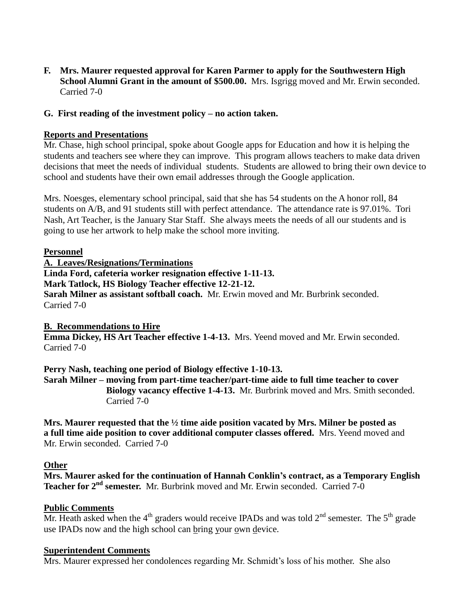**F. Mrs. Maurer requested approval for Karen Parmer to apply for the Southwestern High School Alumni Grant in the amount of \$500.00.** Mrs. Isgrigg moved and Mr. Erwin seconded. Carried 7-0

# **G. First reading of the investment policy – no action taken.**

### **Reports and Presentations**

Mr. Chase, high school principal, spoke about Google apps for Education and how it is helping the students and teachers see where they can improve. This program allows teachers to make data driven decisions that meet the needs of individual students. Students are allowed to bring their own device to school and students have their own email addresses through the Google application.

Mrs. Noesges, elementary school principal, said that she has 54 students on the A honor roll, 84 students on A/B, and 91 students still with perfect attendance. The attendance rate is 97.01%. Tori Nash, Art Teacher, is the January Star Staff. She always meets the needs of all our students and is going to use her artwork to help make the school more inviting.

#### **Personnel**

**A. Leaves/Resignations/Terminations**

**Linda Ford, cafeteria worker resignation effective 1-11-13.**

**Mark Tatlock, HS Biology Teacher effective 12-21-12.**

**Sarah Milner as assistant softball coach.** Mr. Erwin moved and Mr. Burbrink seconded. Carried 7-0

# **B. Recommendations to Hire**

**Emma Dickey, HS Art Teacher effective 1-4-13.** Mrs. Yeend moved and Mr. Erwin seconded. Carried 7-0

**Perry Nash, teaching one period of Biology effective 1-10-13. Sarah Milner – moving from part-time teacher/part-time aide to full time teacher to cover Biology vacancy effective 1-4-13.** Mr. Burbrink moved and Mrs. Smith seconded. Carried 7-0

**Mrs. Maurer requested that the ½ time aide position vacated by Mrs. Milner be posted as a full time aide position to cover additional computer classes offered.** Mrs. Yeend moved and Mr. Erwin seconded. Carried 7-0

#### **Other**

**Mrs. Maurer asked for the continuation of Hannah Conklin's contract, as a Temporary English Teacher for 2nd semester.** Mr. Burbrink moved and Mr. Erwin seconded. Carried 7-0

# **Public Comments**

Mr. Heath asked when the  $4<sup>th</sup>$  graders would receive IPADs and was told  $2<sup>nd</sup>$  semester. The  $5<sup>th</sup>$  grade use IPADs now and the high school can bring your own device.

#### **Superintendent Comments**

Mrs. Maurer expressed her condolences regarding Mr. Schmidt's loss of his mother. She also